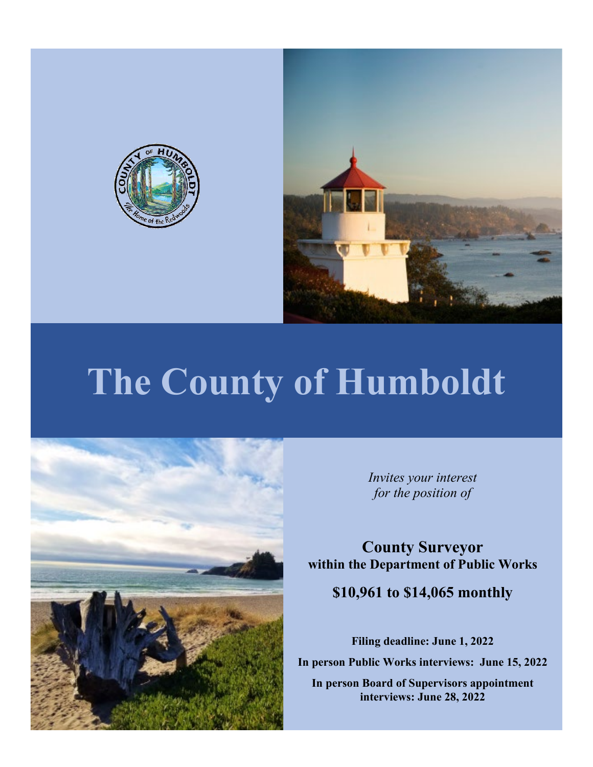



## **The County of Humboldt**



*Invites your interest for the position of*

**County Surveyor within the Department of Public Works**

## **\$10,961 to \$14,065 monthly**

**Filing deadline: June 1, 2022** 

**In person Public Works interviews: June 15, 2022** 

**In person Board of Supervisors appointment interviews: June 28, 2022**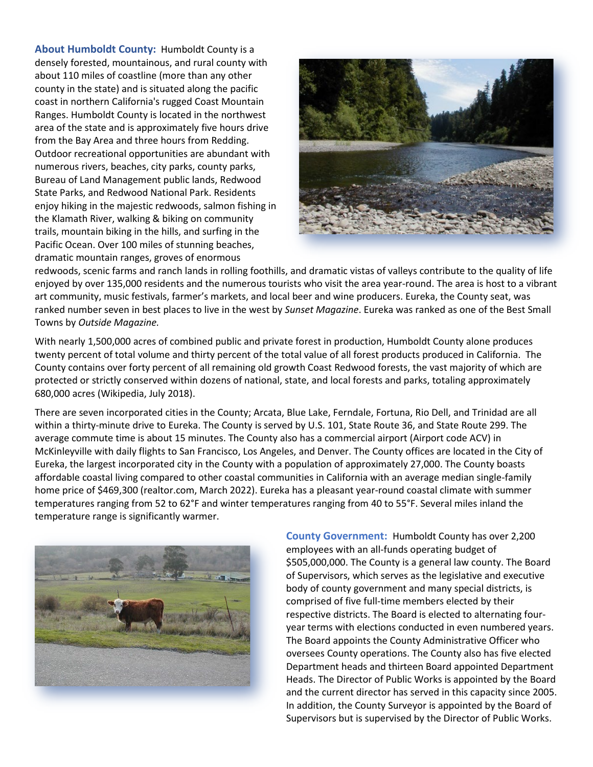**About Humboldt County:** Humboldt County is a densely forested, mountainous, and rural county with about 110 miles of coastline (more than any other county in the state) and is situated along the pacific coast in northern California's rugged Coast Mountain Ranges. Humboldt County is located in the northwest area of the state and is approximately five hours drive from the Bay Area and three hours from Redding. Outdoor recreational opportunities are abundant with numerous rivers, beaches, city parks, county parks, Bureau of Land Management public lands, Redwood State Parks, and Redwood National Park. Residents enjoy hiking in the majestic redwoods, salmon fishing in the Klamath River, walking & biking on community trails, mountain biking in the hills, and surfing in the Pacific Ocean. Over 100 miles of stunning beaches, dramatic mountain ranges, groves of enormous



redwoods, scenic farms and ranch lands in rolling foothills, and dramatic vistas of valleys contribute to the quality of life enjoyed by over 135,000 residents and the numerous tourists who visit the area year-round. The area is host to a vibrant art community, music festivals, farmer's markets, and local beer and wine producers. Eureka, the County seat, was ranked number seven in best places to live in the west by *Sunset Magazine*. Eureka was ranked as one of the Best Small Towns by *Outside Magazine.*

With nearly 1,500,000 acres of combined public and private forest in production, Humboldt County alone produces twenty percent of total volume and thirty percent of the total value of all forest products produced in California. The County contains over forty percent of all remaining old growth Coast Redwood forests, the vast majority of which are protected or strictly conserved within dozens of national, state, and local forests and parks, totaling approximately 680,000 acres (Wikipedia, July 2018).

There are seven incorporated cities in the County; Arcata, Blue Lake, Ferndale, Fortuna, Rio Dell, and Trinidad are all within a thirty-minute drive to Eureka. The County is served by U.S. 101, State Route 36, and State Route 299. The average commute time is about 15 minutes. The County also has a commercial airport (Airport code ACV) in McKinleyville with daily flights to San Francisco, Los Angeles, and Denver. The County offices are located in the City of Eureka, the largest incorporated city in the County with a population of approximately 27,000. The County boasts affordable coastal living compared to other coastal communities in California with an average median single-family home price of \$469,300 (realtor.com, March 2022). Eureka has a pleasant year-round coastal climate with summer temperatures ranging from 52 to 62°F and winter temperatures ranging from 40 to 55°F. Several miles inland the temperature range is significantly warmer.



**County Government:** Humboldt County has over 2,200 employees with an all-funds operating budget of \$505,000,000. The County is a general law county. The Board of Supervisors, which serves as the legislative and executive body of county government and many special districts, is comprised of five full-time members elected by their respective districts. The Board is elected to alternating fouryear terms with elections conducted in even numbered years. The Board appoints the County Administrative Officer who oversees County operations. The County also has five elected Department heads and thirteen Board appointed Department Heads. The Director of Public Works is appointed by the Board and the current director has served in this capacity since 2005. In addition, the County Surveyor is appointed by the Board of Supervisors but is supervised by the Director of Public Works.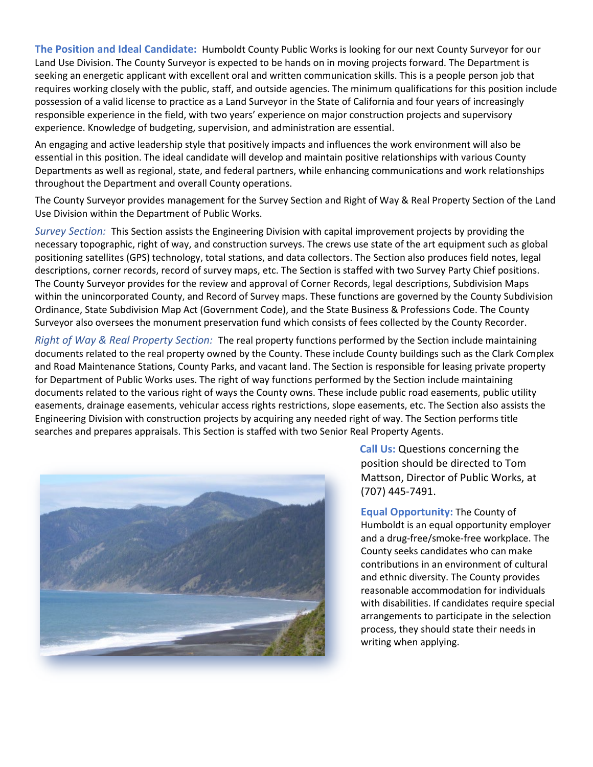**The Position and Ideal Candidate:** Humboldt County Public Works is looking for our next County Surveyor for our Land Use Division. The County Surveyor is expected to be hands on in moving projects forward. The Department is seeking an energetic applicant with excellent oral and written communication skills. This is a people person job that requires working closely with the public, staff, and outside agencies. The minimum qualifications for this position include possession of a valid license to practice as a Land Surveyor in the State of California and four years of increasingly responsible experience in the field, with two years' experience on major construction projects and supervisory experience. Knowledge of budgeting, supervision, and administration are essential.

An engaging and active leadership style that positively impacts and influences the work environment will also be essential in this position. The ideal candidate will develop and maintain positive relationships with various County Departments as well as regional, state, and federal partners, while enhancing communications and work relationships throughout the Department and overall County operations.

The County Surveyor provides management for the Survey Section and Right of Way & Real Property Section of the Land Use Division within the Department of Public Works.

*Survey Section:* This Section assists the Engineering Division with capital improvement projects by providing the necessary topographic, right of way, and construction surveys. The crews use state of the art equipment such as global positioning satellites (GPS) technology, total stations, and data collectors. The Section also produces field notes, legal descriptions, corner records, record of survey maps, etc. The Section is staffed with two Survey Party Chief positions. The County Surveyor provides for the review and approval of Corner Records, legal descriptions, Subdivision Maps within the unincorporated County, and Record of Survey maps. These functions are governed by the County Subdivision Ordinance, State Subdivision Map Act (Government Code), and the State Business & Professions Code. The County Surveyor also oversees the monument preservation fund which consists of fees collected by the County Recorder.

*Right of Way & Real Property Section:* The real property functions performed by the Section include maintaining documents related to the real property owned by the County. These include County buildings such as the Clark Complex and Road Maintenance Stations, County Parks, and vacant land. The Section is responsible for leasing private property for Department of Public Works uses. The right of way functions performed by the Section include maintaining documents related to the various right of ways the County owns. These include public road easements, public utility easements, drainage easements, vehicular access rights restrictions, slope easements, etc. The Section also assists the Engineering Division with construction projects by acquiring any needed right of way. The Section performs title searches and prepares appraisals. This Section is staffed with two Senior Real Property Agents.



**Call Us:** Questions concerning the position should be directed to Tom Mattson, Director of Public Works, at (707) 445-7491.

**Equal Opportunity:** The County of Humboldt is an equal opportunity employer and a drug-free/smoke-free workplace. The County seeks candidates who can make contributions in an environment of cultural and ethnic diversity. The County provides reasonable accommodation for individuals with disabilities. If candidates require special arrangements to participate in the selection process, they should state their needs in writing when applying.